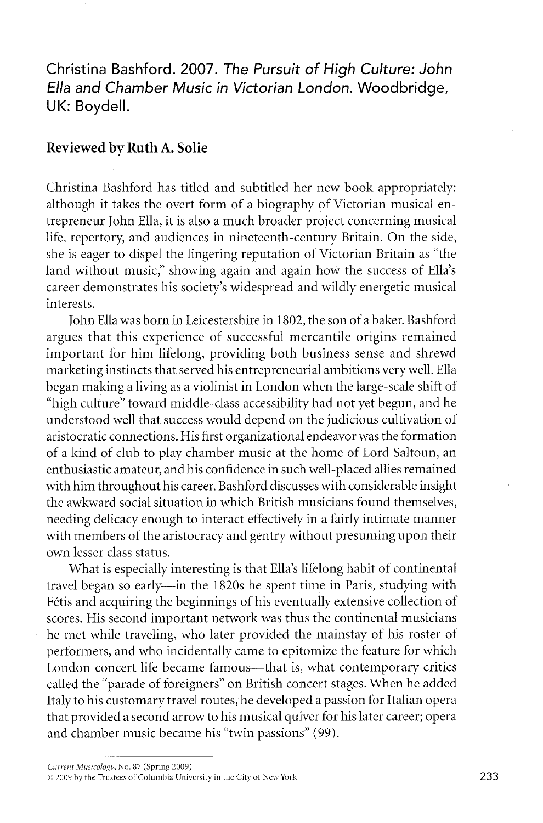**Christina Bashford. 2007.** *The Pursuit* **of** *High Culture: John Ella and Chamber Music in Victorian London.* **Woodbridge, UK: Boydell.** 

## **Reviewed by Ruth A. Solie**

Christina Bashford has titled and subtitled her new book appropriately: although it takes the overt form of a biography of Victorian musical entrepreneur John Ella, it is also a much broader project concerning musical life, repertory, and audiences in nineteenth-century Britain. On the side, she is eager to dispel the lingering reputation of Victorian Britain as "the land without music," showing again and again how the success of Ella's career demonstrates his society's widespread and wildly energetic musical interests.

John Ella was born in Leicestershire in 1802, the son of a baker. Bashford argues that this experience of successful mercantile origins remained important for him lifelong, providing both business sense and shrewd marketing instincts that served his entrepreneurial ambitions very well. Ella began making a living as a violinist in London when the large-scale shift of "high culture" toward middle-class accessibility had not yet begun, and he understood well that success would depend on the judicious cultivation of aristocratic connections. His first organizational endeavor was the formation of a kind of club to play chamber music at the home of Lord Saltoun, an enthusiastic amateur, and his confidence in such well-placed allies remained with him throughout his career. Bashford discusses with considerable insight the awkward social situation in which British musicians found themselves, needing delicacy enough to interact effectively in a fairly intimate manner with members of the aristocracy and gentry without presuming upon their own lesser class status.

What is especially interesting is that Ella's lifelong habit of continental travel began so early—in the 1820s he spent time in Paris, studying with Fetis and acquiring the beginnings of his eventually extensive collection of scores. His second important network was thus the continental musicians he met while traveling, who later provided the mainstay of his roster of performers, and who incidentally came to epitomize the feature for which London concert life became famous—that is, what contemporary critics called the "parade of foreigners" on British concert stages. When he added Italy to his customary travel routes, he developed a passion for Italian opera that provided a second arrow to his musical quiver for his later career; opera and chamber music became his "twin passions" (99).

*Current Musicology,* No. 87 (Spring 2009)

<sup>© 2009</sup> by the Trustees of Columbia University in the City of New York 233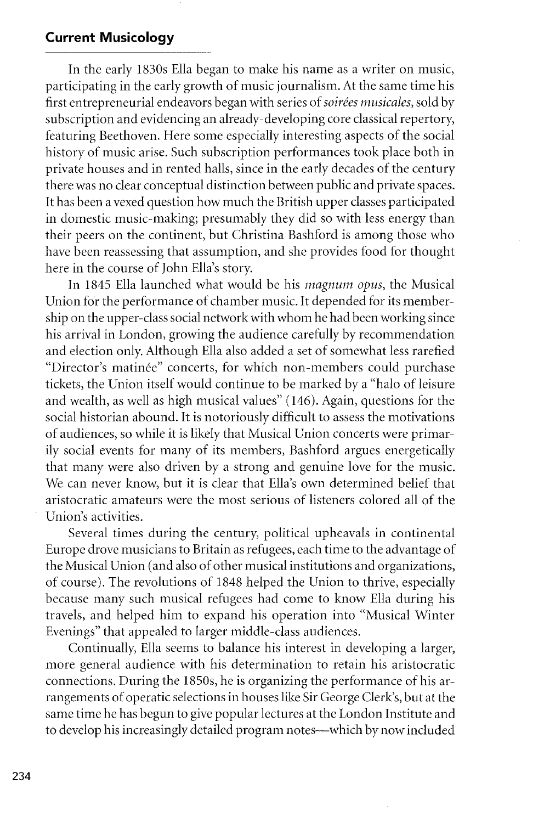## **Current Musicology**

In the early 1830s Ella began to make his name as a writer on music, participating in the early growth of music journalism. At the same time his first entrepreneurial endeavors began with series of *soirees musicales,* sold by subscription and evidencing an already-developing core classical repertory, featuring Beethoven. Here some especially interesting aspects of the social history of music arise. Such subscription performances took place both in private houses and in rented halls, since in the early decades of the century there was no clear conceptual distinction between public and private spaces. It has been a vexed question how much the British upper classes participated in domestic music-making; presumably they did so with less energy than their peers on the continent, but Christina Bashford is among those who have been reassessing that assumption, and she provides food for thought here in the course of John Ella's story.

In 1845 Ella launched what would be his *magnum opus,* the Musical Union for the performance of chamber music. It depended for its membership on the upper-class social network with whom he had been working since his arrival in London, growing the audience carefully by recommendation and election only. Although Ella also added a set of somewhat less rarefied "Director's matinee" concerts, for which non-members could purchase tickets, the Union itself would continue to be marked by a "halo of leisure and wealth, as well as high musical values" (146). Again, questions for the social historian abound. It is notoriously difficult to assess the motivations of audiences, so while it is likely that Musical Union concerts were primarily social events for many of its members, Bashford argues energetically that many were also driven by a strong and genuine love for the music. We can never know, but it is clear that Ella's own determined belief that aristocratic amateurs were the most serious of listeners colored all of the Union's activities.

Several times during the century, political upheavals in continental Europe drove musicians to Britain as refugees, each time to the advantage of the Musical Union (and also of other musical institutions and organizations, of course). The revolutions of 1848 helped the Union to thrive, especially because many such musical refugees had come to know Ella during his travels, and helped him to expand his operation into "Musical Winter Evenings" that appealed to larger middle-class audiences.

Continually, Ella seems to balance his interest in developing a larger, more general audience with his determination to retain his aristocratic connections. During the 1850s, he is organizing the performance of his arrangements of operatic selections in houses like Sir George Clerk's, but at the same time he has begun to give popular lectures at the London Institute and to develop his increasingly detailed program notes-which by now included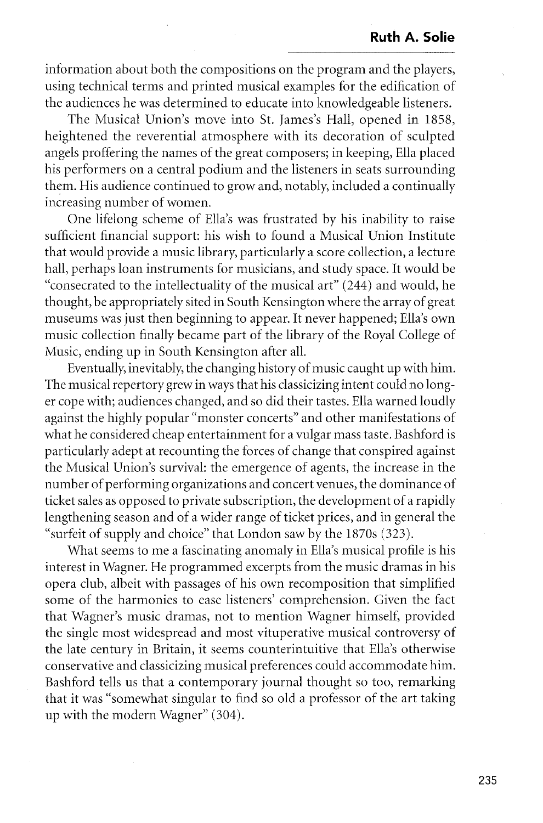information about both the compositions on the program and the players, using technical terms and printed musical examples for the edification of the audiences he was determined to educate into knowledgeable listeners.

The Musical Union's move into St. James's Hall, opened in 1858, heightened the reverential atmosphere with its decoration of sculpted angels proffering the names of the great composers; in keeping, Ella placed his performers on a central podium and the listeners in seats surrounding them. His audience continued to grow and, notably, included a continually increasing number of women.

One lifelong scheme of Ella's was frustrated by his inability to raise sufficient financial support: his wish to found a Musical Union Institute that would provide a music library, particularly a score collection, a lecture hall, perhaps loan instruments for musicians, and study space. It would be "consecrated to the intellectuality of the musical art" (244) and would, he thought, be appropriately sited in South Kensington where the array of great museums was just then beginning to appear. It never happened; Ella's own music collection finally became part of the library of the Royal College of Music, ending up in South Kensington after all.

Eventually, inevitably, the changing history of music caught up with him. The musical repertory grew in ways that his classicizing intent could no longer cope with; audiences changed, and so did their tastes. Ella warned loudly against the highly popular "monster concerts" and other manifestations of what he considered cheap entertainment for a vulgar mass taste. Bashford is particularly adept at recounting the forces of change that conspired against the Musical Union's survival: the emergence of agents, the increase in the number of performing organizations and concert venues, the dominance of ticket sales as opposed to private subscription, the development of a rapidly lengthening season and of a wider range of ticket prices, and in general the "surfeit of supply and choice" that London saw by the 1870s (323).

What seems to me a fascinating anomaly in Ella's musical profile is his interest in Wagner. He programmed excerpts from the music dramas in his opera club, albeit with passages of his own recomposition that simplified some of the harmonies to ease listeners' comprehension. Given the fact that Wagner's music dramas, not to mention Wagner himself, provided the single most widespread and most vituperative musical controversy of the late century in Britain, it seems counterintuitive that Ella's otherwise conservative and classicizing musical preferences could accommodate him. Bashford tells us that a contemporary journal thought so too, remarking that it was "somewhat singular to find so old a professor of the art taking up with the modern Wagner" (304).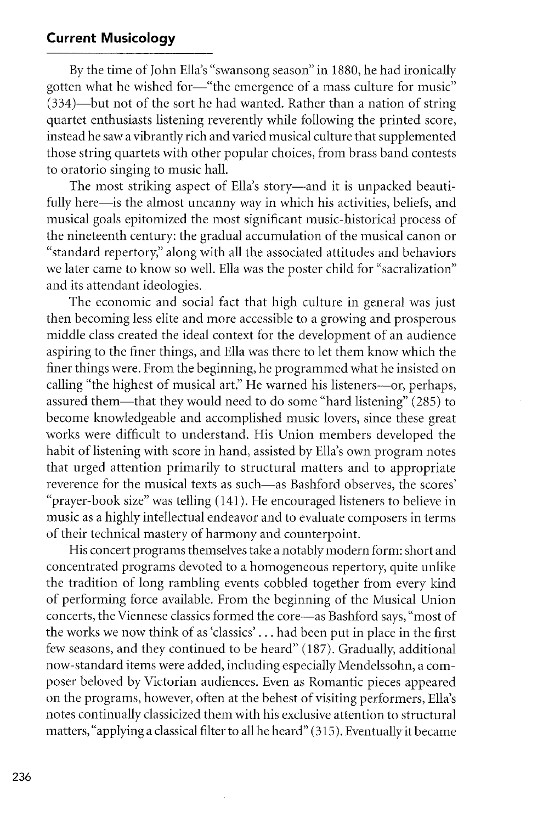## **Current Musicology**

By the time of John Ella's "swansong season" in 1880, he had ironically gotten what he wished for-"the emergence of a mass culture for music" (334)-but not of the sort he had wanted. Rather than a nation of string quartet enthusiasts listening reverently while following the printed score, instead he saw a vibrantly rich and varied musical culture that supplemented those string quartets with other popular choices, from brass band contests to oratorio singing to music hall.

The most striking aspect of Ella's story-and it is unpacked beautifully here-is the almost uncanny way in which his activities, beliefs, and musical goals epitomized the most significant music-historical process of the nineteenth century: the gradual accumulation of the musical canon or "standard repertory," along with all the associated attitudes and behaviors we later came to know so well. Ella was the poster child for "sacralization" and its attendant ideologies.

The economic and social fact that high culture in general was just then becoming less elite and more accessible to a growing and prosperous middle class created the ideal context for the development of an audience aspiring to the finer things, and Ella was there to let them know which the finer things were. From the beginning, he programmed what he insisted on calling "the highest of musical art." He warned his listeners-or, perhaps, assured them-that they would need to do some "hard listening" (285) to become knowledgeable and accomplished music lovers, since these great works were difficult to understand. His Union members developed the habit of listening with score in hand, assisted by Ella's own program notes that urged attention primarily to structural matters and to appropriate reverence for the musical texts as such-as Bashford observes, the scores' "prayer-book size" was telling (141). He encouraged listeners to believe in music as a highly intellectual endeavor and to evaluate composers in terms of their technical mastery of harmony and counterpoint.

His concert programs themselves take a notably modern form: short and concentrated programs devoted to a homogeneous repertory, quite unlike the tradition of long rambling events cobbled together from every kind of performing force available. From the beginning of the Musical Union concerts, the Viennese classics formed the core--as Bashford says, "most of the works we now think of as 'classics' ... had been put in place in the first few seasons, and they continued to be heard" (187). Gradually, additional now-standard items were added, including especially Mendelssohn, a composer beloved by Victorian audiences. Even as Romantic pieces appeared on the programs, however, often at the behest of visiting performers, Ella's notes continually classicized them with his exclusive attention to structural matters, "applying a classical filter to all he heard" (315). Eventually it became